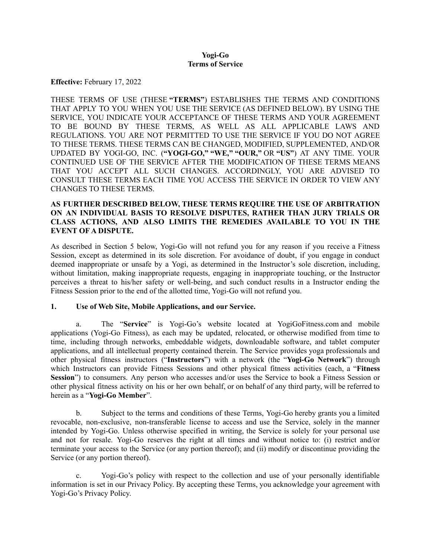#### **Yogi-Go Terms of Service**

**Effective:** February 17, 2022

THESE TERMS OF USE (THESE **"TERMS"**) ESTABLISHES THE TERMS AND CONDITIONS THAT APPLY TO YOU WHEN YOU USE THE SERVICE (AS DEFINED BELOW). BY USING THE SERVICE, YOU INDICATE YOUR ACCEPTANCE OF THESE TERMS AND YOUR AGREEMENT TO BE BOUND BY THESE TERMS, AS WELL AS ALL APPLICABLE LAWS AND REGULATIONS. YOU ARE NOT PERMITTED TO USE THE SERVICE IF YOU DO NOT AGREE TO THESE TERMS. THESE TERMS CAN BE CHANGED, MODIFIED, SUPPLEMENTED, AND/OR UPDATED BY YOGI-GO, INC. (**"YOGI-GO," "WE," "OUR,"** OR **"US"**) AT ANY TIME. YOUR CONTINUED USE OF THE SERVICE AFTER THE MODIFICATION OF THESE TERMS MEANS THAT YOU ACCEPT ALL SUCH CHANGES. ACCORDINGLY, YOU ARE ADVISED TO CONSULT THESE TERMS EACH TIME YOU ACCESS THE SERVICE IN ORDER TO VIEW ANY CHANGES TO THESE TERMS.

## **AS FURTHER DESCRIBED BELOW, THESE TERMS REQUIRE THE USE OF ARBITRATION ON AN INDIVIDUAL BASIS TO RESOLVE DISPUTES, RATHER THAN JURY TRIALS OR CLASS ACTIONS, AND ALSO LIMITS THE REMEDIES AVAILABLE TO YOU IN THE EVENT OF A DISPUTE.**

As described in Section 5 below, Yogi-Go will not refund you for any reason if you receive a Fitness Session, except as determined in its sole discretion. For avoidance of doubt, if you engage in conduct deemed inappropriate or unsafe by a Yogi, as determined in the Instructor's sole discretion, including, without limitation, making inappropriate requests, engaging in inappropriate touching, or the Instructor perceives a threat to his/her safety or well-being, and such conduct results in a Instructor ending the Fitness Session prior to the end of the allotted time, Yogi-Go will not refund you.

### **1. Use of Web Site, Mobile Applications, and our Service.**

The "**Service**" is Yogi-Go's website located at YogiGoFitness.com and mobile applications (Yogi-Go Fitness), as each may be updated, relocated, or otherwise modified from time to time, including through networks, embeddable widgets, downloadable software, and tablet computer applications, and all intellectual property contained therein. The Service provides yoga professionals and other physical fitness instructors ("**Instructors**") with a network (the "**Yogi-Go Network**") through which Instructors can provide Fitness Sessions and other physical fitness activities (each, a "**Fitness Session**") to consumers. Any person who accesses and/or uses the Service to book a Fitness Session or other physical fitness activity on his or her own behalf, or on behalf of any third party, will be referred to herein as a "**Yogi-Go Member**".

b. Subject to the terms and conditions of these Terms, Yogi-Go hereby grants you a limited revocable, non-exclusive, non-transferable license to access and use the Service, solely in the manner intended by Yogi-Go. Unless otherwise specified in writing, the Service is solely for your personal use and not for resale. Yogi-Go reserves the right at all times and without notice to: (i) restrict and/or terminate your access to the Service (or any portion thereof); and (ii) modify or discontinue providing the Service (or any portion thereof).

c. Yogi-Go's policy with respect to the collection and use of your personally identifiable information is set in our Privacy Policy. By accepting these Terms, you acknowledge your agreement with Yogi-Go's Privacy Policy.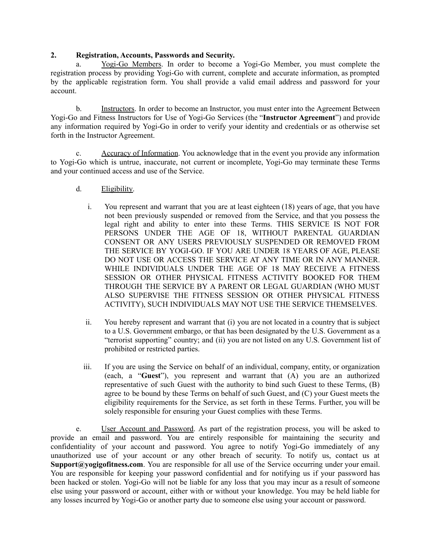### **2. Registration, Accounts, Passwords and Security.**

a. Yogi-Go Members. In order to become a Yogi-Go Member, you must complete the registration process by providing Yogi-Go with current, complete and accurate information, as prompted by the applicable registration form. You shall provide a valid email address and password for your account.

b. Instructors. In order to become an Instructor, you must enter into the Agreement Between Yogi-Go and Fitness Instructors for Use of Yogi-Go Services (the "**Instructor Agreement**") and provide any information required by Yogi-Go in order to verify your identity and credentials or as otherwise set forth in the Instructor Agreement.

c. Accuracy of Information. You acknowledge that in the event you provide any information to Yogi-Go which is untrue, inaccurate, not current or incomplete, Yogi-Go may terminate these Terms and your continued access and use of the Service.

- d. Eligibility.
	- i. You represent and warrant that you are at least eighteen (18) years of age, that you have not been previously suspended or removed from the Service, and that you possess the legal right and ability to enter into these Terms. THIS SERVICE IS NOT FOR PERSONS UNDER THE AGE OF 18, WITHOUT PARENTAL GUARDIAN CONSENT OR ANY USERS PREVIOUSLY SUSPENDED OR REMOVED FROM THE SERVICE BY YOGI-GO. IF YOU ARE UNDER 18 YEARS OF AGE, PLEASE DO NOT USE OR ACCESS THE SERVICE AT ANY TIME OR IN ANY MANNER. WHILE INDIVIDUALS UNDER THE AGE OF 18 MAY RECEIVE A FITNESS SESSION OR OTHER PHYSICAL FITNESS ACTIVITY BOOKED FOR THEM THROUGH THE SERVICE BY A PARENT OR LEGAL GUARDIAN (WHO MUST ALSO SUPERVISE THE FITNESS SESSION OR OTHER PHYSICAL FITNESS ACTIVITY), SUCH INDIVIDUALS MAY NOT USE THE SERVICE THEMSELVES.
	- ii. You hereby represent and warrant that (i) you are not located in a country that is subject to a U.S. Government embargo, or that has been designated by the U.S. Government as a "terrorist supporting" country; and (ii) you are not listed on any U.S. Government list of prohibited or restricted parties.
	- iii. If you are using the Service on behalf of an individual, company, entity, or organization (each, a "**Guest**"), you represent and warrant that (A) you are an authorized representative of such Guest with the authority to bind such Guest to these Terms, (B) agree to be bound by these Terms on behalf of such Guest, and (C) your Guest meets the eligibility requirements for the Service, as set forth in these Terms. Further, you will be solely responsible for ensuring your Guest complies with these Terms.

e. User Account and Password. As part of the registration process, you will be asked to provide an email and password. You are entirely responsible for maintaining the security and confidentiality of your account and password. You agree to notify Yogi-Go immediately of any unauthorized use of your account or any other breach of security. To notify us, contact us at **Support@yogigofitness.com**. You are responsible for all use of the Service occurring under your email. You are responsible for keeping your password confidential and for notifying us if your password has been hacked or stolen. Yogi-Go will not be liable for any loss that you may incur as a result of someone else using your password or account, either with or without your knowledge. You may be held liable for any losses incurred by Yogi-Go or another party due to someone else using your account or password.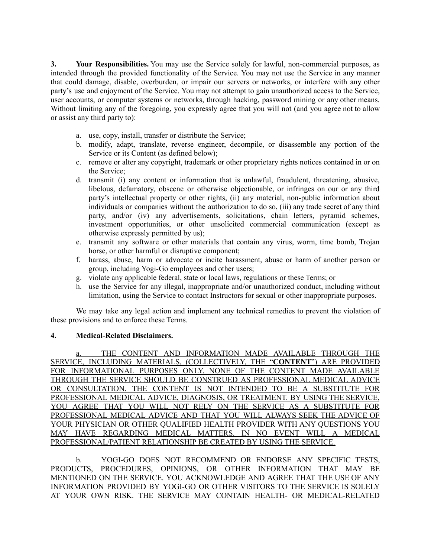**3. Your Responsibilities.** You may use the Service solely for lawful, non-commercial purposes, as intended through the provided functionality of the Service. You may not use the Service in any manner that could damage, disable, overburden, or impair our servers or networks, or interfere with any other party's use and enjoyment of the Service. You may not attempt to gain unauthorized access to the Service, user accounts, or computer systems or networks, through hacking, password mining or any other means. Without limiting any of the foregoing, you expressly agree that you will not (and you agree not to allow or assist any third party to):

- a. use, copy, install, transfer or distribute the Service;
- b. modify, adapt, translate, reverse engineer, decompile, or disassemble any portion of the Service or its Content (as defined below);
- c. remove or alter any copyright, trademark or other proprietary rights notices contained in or on the Service;
- d. transmit (i) any content or information that is unlawful, fraudulent, threatening, abusive, libelous, defamatory, obscene or otherwise objectionable, or infringes on our or any third party's intellectual property or other rights, (ii) any material, non-public information about individuals or companies without the authorization to do so, (iii) any trade secret of any third party, and/or (iv) any advertisements, solicitations, chain letters, pyramid schemes, investment opportunities, or other unsolicited commercial communication (except as otherwise expressly permitted by us);
- e. transmit any software or other materials that contain any virus, worm, time bomb, Trojan horse, or other harmful or disruptive component;
- f. harass, abuse, harm or advocate or incite harassment, abuse or harm of another person or group, including Yogi-Go employees and other users;
- g. violate any applicable federal, state or local laws, regulations or these Terms; or
- h. use the Service for any illegal, inappropriate and/or unauthorized conduct, including without limitation, using the Service to contact Instructors for sexual or other inappropriate purposes.

We may take any legal action and implement any technical remedies to prevent the violation of these provisions and to enforce these Terms.

### **4. Medical-Related Disclaimers.**

THE CONTENT AND INFORMATION MADE AVAILABLE THROUGH THE SERVICE, INCLUDING MATERIALS, (COLLECTIVELY, THE "**CONTENT**") ARE PROVIDED FOR INFORMATIONAL PURPOSES ONLY. NONE OF THE CONTENT MADE AVAILABLE THROUGH THE SERVICE SHOULD BE CONSTRUED AS PROFESSIONAL MEDICAL ADVICE OR CONSULTATION. THE CONTENT IS NOT INTENDED TO BE A SUBSTITUTE FOR PROFESSIONAL MEDICAL ADVICE, DIAGNOSIS, OR TREATMENT. BY USING THE SERVICE, YOU AGREE THAT YOU WILL NOT RELY ON THE SERVICE AS A SUBSTITUTE FOR PROFESSIONAL MEDICAL ADVICE AND THAT YOU WILL ALWAYS SEEK THE ADVICE OF YOUR PHYSICIAN OR OTHER QUALIFIED HEALTH PROVIDER WITH ANY QUESTIONS YOU MAY HAVE REGARDING MEDICAL MATTERS. IN NO EVENT WILL A MEDICAL PROFESSIONAL/PATIENT RELATIONSHIP BE CREATED BY USING THE SERVICE.

b. YOGI-GO DOES NOT RECOMMEND OR ENDORSE ANY SPECIFIC TESTS, PRODUCTS, PROCEDURES, OPINIONS, OR OTHER INFORMATION THAT MAY BE MENTIONED ON THE SERVICE. YOU ACKNOWLEDGE AND AGREE THAT THE USE OF ANY INFORMATION PROVIDED BY YOGI-GO OR OTHER VISITORS TO THE SERVICE IS SOLELY AT YOUR OWN RISK. THE SERVICE MAY CONTAIN HEALTH- OR MEDICAL-RELATED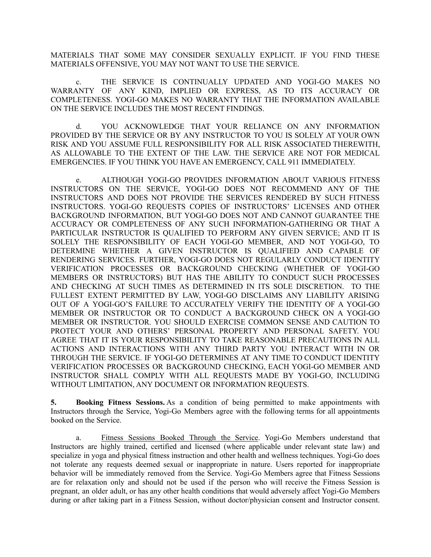MATERIALS THAT SOME MAY CONSIDER SEXUALLY EXPLICIT. IF YOU FIND THESE MATERIALS OFFENSIVE, YOU MAY NOT WANT TO USE THE SERVICE.

c. THE SERVICE IS CONTINUALLY UPDATED AND YOGI-GO MAKES NO WARRANTY OF ANY KIND, IMPLIED OR EXPRESS, AS TO ITS ACCURACY OR COMPLETENESS. YOGI-GO MAKES NO WARRANTY THAT THE INFORMATION AVAILABLE ON THE SERVICE INCLUDES THE MOST RECENT FINDINGS.

d. YOU ACKNOWLEDGE THAT YOUR RELIANCE ON ANY INFORMATION PROVIDED BY THE SERVICE OR BY ANY INSTRUCTOR TO YOU IS SOLELY AT YOUR OWN RISK AND YOU ASSUME FULL RESPONSIBILITY FOR ALL RISK ASSOCIATED THEREWITH, AS ALLOWABLE TO THE EXTENT OF THE LAW. THE SERVICE ARE NOT FOR MEDICAL EMERGENCIES. IF YOU THINK YOU HAVE AN EMERGENCY, CALL 911 IMMEDIATELY.

e. ALTHOUGH YOGI-GO PROVIDES INFORMATION ABOUT VARIOUS FITNESS INSTRUCTORS ON THE SERVICE, YOGI-GO DOES NOT RECOMMEND ANY OF THE INSTRUCTORS AND DOES NOT PROVIDE THE SERVICES RENDERED BY SUCH FITNESS INSTRUCTORS. YOGI-GO REQUESTS COPIES OF INSTRUCTORS' LICENSES AND OTHER BACKGROUND INFORMATION, BUT YOGI-GO DOES NOT AND CANNOT GUARANTEE THE ACCURACY OR COMPLETENESS OF ANY SUCH INFORMATION-GATHERING OR THAT A PARTICULAR INSTRUCTOR IS QUALIFIED TO PERFORM ANY GIVEN SERVICE; AND IT IS SOLELY THE RESPONSIBILITY OF EACH YOGI-GO MEMBER, AND NOT YOGI-GO, TO DETERMINE WHETHER A GIVEN INSTRUCTOR IS QUALIFIED AND CAPABLE OF RENDERING SERVICES. FURTHER, YOGI-GO DOES NOT REGULARLY CONDUCT IDENTITY VERIFICATION PROCESSES OR BACKGROUND CHECKING (WHETHER OF YOGI-GO MEMBERS OR INSTRUCTORS) BUT HAS THE ABILITY TO CONDUCT SUCH PROCESSES AND CHECKING AT SUCH TIMES AS DETERMINED IN ITS SOLE DISCRETION. TO THE FULLEST EXTENT PERMITTED BY LAW, YOGI-GO DISCLAIMS ANY LIABILITY ARISING OUT OF A YOGI-GO'S FAILURE TO ACCURATELY VERIFY THE IDENTITY OF A YOGI-GO MEMBER OR INSTRUCTOR OR TO CONDUCT A BACKGROUND CHECK ON A YOGI-GO MEMBER OR INSTRUCTOR. YOU SHOULD EXERCISE COMMON SENSE AND CAUTION TO PROTECT YOUR AND OTHERS' PERSONAL PROPERTY AND PERSONAL SAFETY. YOU AGREE THAT IT IS YOUR RESPONSIBILITY TO TAKE REASONABLE PRECAUTIONS IN ALL ACTIONS AND INTERACTIONS WITH ANY THIRD PARTY YOU INTERACT WITH IN OR THROUGH THE SERVICE. IF YOGI-GO DETERMINES AT ANY TIME TO CONDUCT IDENTITY VERIFICATION PROCESSES OR BACKGROUND CHECKING, EACH YOGI-GO MEMBER AND INSTRUCTOR SHALL COMPLY WITH ALL REQUESTS MADE BY YOGI-GO, INCLUDING WITHOUT LIMITATION, ANY DOCUMENT OR INFORMATION REQUESTS.

**5. Booking Fitness Sessions.** As a condition of being permitted to make appointments with Instructors through the Service, Yogi-Go Members agree with the following terms for all appointments booked on the Service.

a. Fitness Sessions Booked Through the Service. Yogi-Go Members understand that Instructors are highly trained, certified and licensed (where applicable under relevant state law) and specialize in yoga and physical fitness instruction and other health and wellness techniques. Yogi-Go does not tolerate any requests deemed sexual or inappropriate in nature. Users reported for inappropriate behavior will be immediately removed from the Service. Yogi-Go Members agree that Fitness Sessions are for relaxation only and should not be used if the person who will receive the Fitness Session is pregnant, an older adult, or has any other health conditions that would adversely affect Yogi-Go Members during or after taking part in a Fitness Session, without doctor/physician consent and Instructor consent.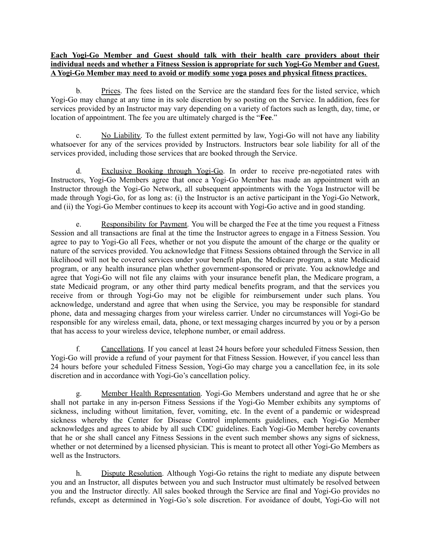### **Each Yogi-Go Member and Guest should talk with their health care providers about their individual needs and whether a Fitness Session is appropriate for such Yogi-Go Member and Guest. A Yogi-Go Member may need to avoid or modify some yoga poses and physical fitness practices.**

b. Prices. The fees listed on the Service are the standard fees for the listed service, which Yogi-Go may change at any time in its sole discretion by so posting on the Service. In addition, fees for services provided by an Instructor may vary depending on a variety of factors such as length, day, time, or location of appointment. The fee you are ultimately charged is the "**Fee**."

c. No Liability. To the fullest extent permitted by law, Yogi-Go will not have any liability whatsoever for any of the services provided by Instructors. Instructors bear sole liability for all of the services provided, including those services that are booked through the Service.

d. Exclusive Booking through Yogi-Go. In order to receive pre-negotiated rates with Instructors, Yogi-Go Members agree that once a Yogi-Go Member has made an appointment with an Instructor through the Yogi-Go Network, all subsequent appointments with the Yoga Instructor will be made through Yogi-Go, for as long as: (i) the Instructor is an active participant in the Yogi-Go Network, and (ii) the Yogi-Go Member continues to keep its account with Yogi-Go active and in good standing.

e. Responsibility for Payment. You will be charged the Fee at the time you request a Fitness Session and all transactions are final at the time the Instructor agrees to engage in a Fitness Session. You agree to pay to Yogi-Go all Fees, whether or not you dispute the amount of the charge or the quality or nature of the services provided. You acknowledge that Fitness Sessions obtained through the Service in all likelihood will not be covered services under your benefit plan, the Medicare program, a state Medicaid program, or any health insurance plan whether government-sponsored or private. You acknowledge and agree that Yogi-Go will not file any claims with your insurance benefit plan, the Medicare program, a state Medicaid program, or any other third party medical benefits program, and that the services you receive from or through Yogi-Go may not be eligible for reimbursement under such plans. You acknowledge, understand and agree that when using the Service, you may be responsible for standard phone, data and messaging charges from your wireless carrier. Under no circumstances will Yogi-Go be responsible for any wireless email, data, phone, or text messaging charges incurred by you or by a person that has access to your wireless device, telephone number, or email address.

f. Cancellations. If you cancel at least 24 hours before your scheduled Fitness Session, then Yogi-Go will provide a refund of your payment for that Fitness Session. However, if you cancel less than 24 hours before your scheduled Fitness Session, Yogi-Go may charge you a cancellation fee, in its sole discretion and in accordance with Yogi-Go's cancellation policy.

g. Member Health Representation. Yogi-Go Members understand and agree that he or she shall not partake in any in-person Fitness Sessions if the Yogi-Go Member exhibits any symptoms of sickness, including without limitation, fever, vomiting, etc. In the event of a pandemic or widespread sickness whereby the Center for Disease Control implements guidelines, each Yogi-Go Member acknowledges and agrees to abide by all such CDC guidelines. Each Yogi-Go Member hereby covenants that he or she shall cancel any Fitness Sessions in the event such member shows any signs of sickness, whether or not determined by a licensed physician. This is meant to protect all other Yogi-Go Members as well as the Instructors.

h. Dispute Resolution. Although Yogi-Go retains the right to mediate any dispute between you and an Instructor, all disputes between you and such Instructor must ultimately be resolved between you and the Instructor directly. All sales booked through the Service are final and Yogi-Go provides no refunds, except as determined in Yogi-Go's sole discretion. For avoidance of doubt, Yogi-Go will not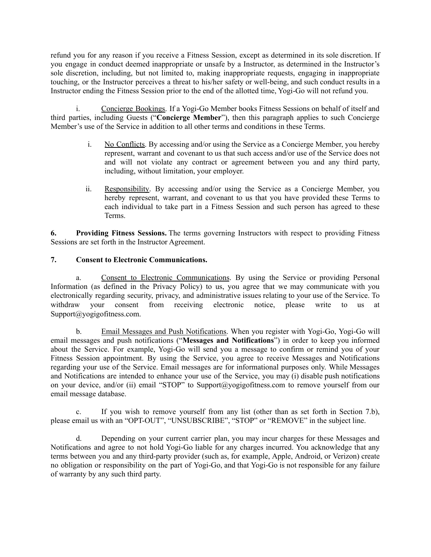refund you for any reason if you receive a Fitness Session, except as determined in its sole discretion. If you engage in conduct deemed inappropriate or unsafe by a Instructor, as determined in the Instructor's sole discretion, including, but not limited to, making inappropriate requests, engaging in inappropriate touching, or the Instructor perceives a threat to his/her safety or well-being, and such conduct results in a Instructor ending the Fitness Session prior to the end of the allotted time, Yogi-Go will not refund you.

i. Concierge Bookings. If a Yogi-Go Member books Fitness Sessions on behalf of itself and third parties, including Guests ("**Concierge Member**"), then this paragraph applies to such Concierge Member's use of the Service in addition to all other terms and conditions in these Terms.

- i. No Conflicts. By accessing and/or using the Service as a Concierge Member, you hereby represent, warrant and covenant to us that such access and/or use of the Service does not and will not violate any contract or agreement between you and any third party, including, without limitation, your employer.
- ii. Responsibility. By accessing and/or using the Service as a Concierge Member, you hereby represent, warrant, and covenant to us that you have provided these Terms to each individual to take part in a Fitness Session and such person has agreed to these Terms.

**6. Providing Fitness Sessions.** The terms governing Instructors with respect to providing Fitness Sessions are set forth in the Instructor Agreement.

# **7. Consent to Electronic Communications.**

a. Consent to Electronic Communications. By using the Service or providing Personal Information (as defined in the Privacy Policy) to us, you agree that we may communicate with you electronically regarding security, privacy, and administrative issues relating to your use of the Service. To withdraw your consent from receiving electronic notice, please write to us at Support@yogigofitness.com.

b. Email Messages and Push Notifications. When you register with Yogi-Go, Yogi-Go will email messages and push notifications ("**Messages and Notifications**") in order to keep you informed about the Service. For example, Yogi-Go will send you a message to confirm or remind you of your Fitness Session appointment. By using the Service, you agree to receive Messages and Notifications regarding your use of the Service. Email messages are for informational purposes only. While Messages and Notifications are intended to enhance your use of the Service, you may (i) disable push notifications on your device, and/or (ii) email "STOP" to Support@yogigofitness.com to remove yourself from our email message database.

c. If you wish to remove yourself from any list (other than as set forth in Section 7.b), please email us with an "OPT-OUT", "UNSUBSCRIBE", "STOP" or "REMOVE" in the subject line.

d. Depending on your current carrier plan, you may incur charges for these Messages and Notifications and agree to not hold Yogi-Go liable for any charges incurred. You acknowledge that any terms between you and any third-party provider (such as, for example, Apple, Android, or Verizon) create no obligation or responsibility on the part of Yogi-Go, and that Yogi-Go is not responsible for any failure of warranty by any such third party.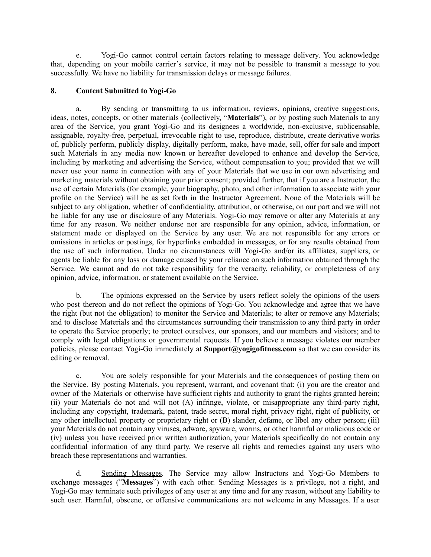e. Yogi-Go cannot control certain factors relating to message delivery. You acknowledge that, depending on your mobile carrier's service, it may not be possible to transmit a message to you successfully. We have no liability for transmission delays or message failures.

### **8. Content Submitted to Yogi-Go**

a. By sending or transmitting to us information, reviews, opinions, creative suggestions, ideas, notes, concepts, or other materials (collectively, "**Materials**"), or by posting such Materials to any area of the Service, you grant Yogi-Go and its designees a worldwide, non-exclusive, sublicensable, assignable, royalty-free, perpetual, irrevocable right to use, reproduce, distribute, create derivative works of, publicly perform, publicly display, digitally perform, make, have made, sell, offer for sale and import such Materials in any media now known or hereafter developed to enhance and develop the Service, including by marketing and advertising the Service, without compensation to you; provided that we will never use your name in connection with any of your Materials that we use in our own advertising and marketing materials without obtaining your prior consent; provided further, that if you are a Instructor, the use of certain Materials (for example, your biography, photo, and other information to associate with your profile on the Service) will be as set forth in the Instructor Agreement. None of the Materials will be subject to any obligation, whether of confidentiality, attribution, or otherwise, on our part and we will not be liable for any use or disclosure of any Materials. Yogi-Go may remove or alter any Materials at any time for any reason. We neither endorse nor are responsible for any opinion, advice, information, or statement made or displayed on the Service by any user. We are not responsible for any errors or omissions in articles or postings, for hyperlinks embedded in messages, or for any results obtained from the use of such information. Under no circumstances will Yogi-Go and/or its affiliates, suppliers, or agents be liable for any loss or damage caused by your reliance on such information obtained through the Service. We cannot and do not take responsibility for the veracity, reliability, or completeness of any opinion, advice, information, or statement available on the Service.

b. The opinions expressed on the Service by users reflect solely the opinions of the users who post thereon and do not reflect the opinions of Yogi-Go. You acknowledge and agree that we have the right (but not the obligation) to monitor the Service and Materials; to alter or remove any Materials; and to disclose Materials and the circumstances surrounding their transmission to any third party in order to operate the Service properly; to protect ourselves, our sponsors, and our members and visitors; and to comply with legal obligations or governmental requests. If you believe a message violates our member policies, please contact Yogi-Go immediately at **Support@yogigofitness.com** so that we can consider its editing or removal.

c. You are solely responsible for your Materials and the consequences of posting them on the Service. By posting Materials, you represent, warrant, and covenant that: (i) you are the creator and owner of the Materials or otherwise have sufficient rights and authority to grant the rights granted herein; (ii) your Materials do not and will not (A) infringe, violate, or misappropriate any third-party right, including any copyright, trademark, patent, trade secret, moral right, privacy right, right of publicity, or any other intellectual property or proprietary right or (B) slander, defame, or libel any other person; (iii) your Materials do not contain any viruses, adware, spyware, worms, or other harmful or malicious code or (iv) unless you have received prior written authorization, your Materials specifically do not contain any confidential information of any third party. We reserve all rights and remedies against any users who breach these representations and warranties.

d. Sending Messages. The Service may allow Instructors and Yogi-Go Members to exchange messages ("**Messages**") with each other. Sending Messages is a privilege, not a right, and Yogi-Go may terminate such privileges of any user at any time and for any reason, without any liability to such user. Harmful, obscene, or offensive communications are not welcome in any Messages. If a user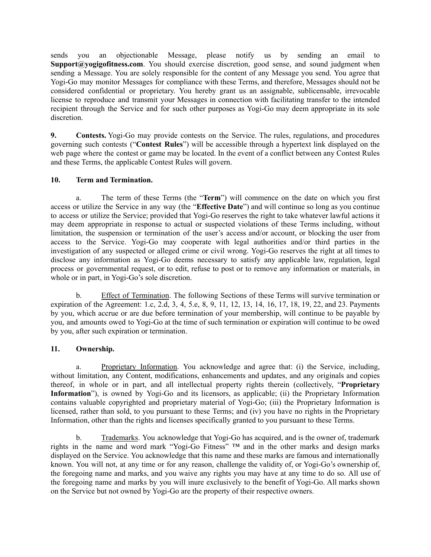sends you an objectionable Message, please notify us by sending an email to **Support@yogigofitness.com**. You should exercise discretion, good sense, and sound judgment when sending a Message. You are solely responsible for the content of any Message you send. You agree that Yogi-Go may monitor Messages for compliance with these Terms, and therefore, Messages should not be considered confidential or proprietary. You hereby grant us an assignable, sublicensable, irrevocable license to reproduce and transmit your Messages in connection with facilitating transfer to the intended recipient through the Service and for such other purposes as Yogi-Go may deem appropriate in its sole discretion.

**9. Contests.** Yogi-Go may provide contests on the Service. The rules, regulations, and procedures governing such contests ("**Contest Rules**") will be accessible through a hypertext link displayed on the web page where the contest or game may be located. In the event of a conflict between any Contest Rules and these Terms, the applicable Contest Rules will govern.

# **10. Term and Termination.**

a. The term of these Terms (the "**Term**") will commence on the date on which you first access or utilize the Service in any way (the "**Effective Date**") and will continue so long as you continue to access or utilize the Service; provided that Yogi-Go reserves the right to take whatever lawful actions it may deem appropriate in response to actual or suspected violations of these Terms including, without limitation, the suspension or termination of the user's access and/or account, or blocking the user from access to the Service. Yogi-Go may cooperate with legal authorities and/or third parties in the investigation of any suspected or alleged crime or civil wrong. Yogi-Go reserves the right at all times to disclose any information as Yogi-Go deems necessary to satisfy any applicable law, regulation, legal process or governmental request, or to edit, refuse to post or to remove any information or materials, in whole or in part, in Yogi-Go's sole discretion.

b. Effect of Termination. The following Sections of these Terms will survive termination or expiration of the Agreement: 1.c, 2.d, 3, 4, 5.e, 8, 9, 11, 12, 13, 14, 16, 17, 18, 19, 22, and 23. Payments by you, which accrue or are due before termination of your membership, will continue to be payable by you, and amounts owed to Yogi-Go at the time of such termination or expiration will continue to be owed by you, after such expiration or termination.

# **11. Ownership.**

a. Proprietary Information. You acknowledge and agree that: (i) the Service, including, without limitation, any Content, modifications, enhancements and updates, and any originals and copies thereof, in whole or in part, and all intellectual property rights therein (collectively, "**Proprietary Information**"), is owned by Yogi-Go and its licensors, as applicable; (ii) the Proprietary Information contains valuable copyrighted and proprietary material of Yogi-Go; (iii) the Proprietary Information is licensed, rather than sold, to you pursuant to these Terms; and (iv) you have no rights in the Proprietary Information, other than the rights and licenses specifically granted to you pursuant to these Terms.

b. Trademarks. You acknowledge that Yogi-Go has acquired, and is the owner of, trademark rights in the name and word mark "Yogi-Go Fitness" ™ and in the other marks and design marks displayed on the Service. You acknowledge that this name and these marks are famous and internationally known. You will not, at any time or for any reason, challenge the validity of, or Yogi-Go's ownership of, the foregoing name and marks, and you waive any rights you may have at any time to do so. All use of the foregoing name and marks by you will inure exclusively to the benefit of Yogi-Go. All marks shown on the Service but not owned by Yogi-Go are the property of their respective owners.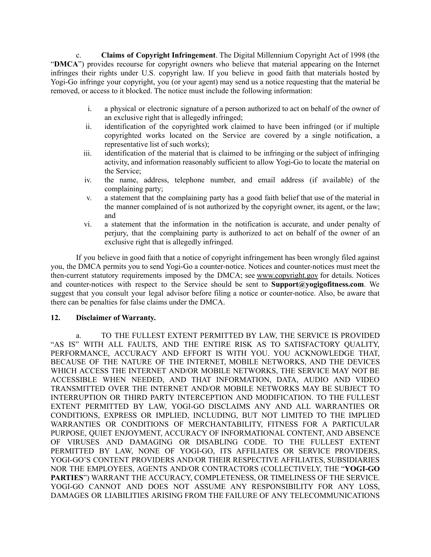c. **Claims of Copyright Infringement**. The Digital Millennium Copyright Act of 1998 (the "**DMCA**") provides recourse for copyright owners who believe that material appearing on the Internet infringes their rights under U.S. copyright law. If you believe in good faith that materials hosted by Yogi-Go infringe your copyright, you (or your agent) may send us a notice requesting that the material be removed, or access to it blocked. The notice must include the following information:

- i. a physical or electronic signature of a person authorized to act on behalf of the owner of an exclusive right that is allegedly infringed;
- ii. identification of the copyrighted work claimed to have been infringed (or if multiple copyrighted works located on the Service are covered by a single notification, a representative list of such works);
- iii. identification of the material that is claimed to be infringing or the subject of infringing activity, and information reasonably sufficient to allow Yogi-Go to locate the material on the Service;
- iv. the name, address, telephone number, and email address (if available) of the complaining party;
- v. a statement that the complaining party has a good faith belief that use of the material in the manner complained of is not authorized by the copyright owner, its agent, or the law; and
- vi. a statement that the information in the notification is accurate, and under penalty of perjury, that the complaining party is authorized to act on behalf of the owner of an exclusive right that is allegedly infringed.

If you believe in good faith that a notice of copyright infringement has been wrongly filed against you, the DMCA permits you to send Yogi-Go a counter-notice. Notices and counter-notices must meet the then-current statutory requirements imposed by the DMCA; see [www.copyright.gov](http://www.copyright.gov/) for details. Notices and counter-notices with respect to the Service should be sent to **Support@yogigofitness.com**. We suggest that you consult your legal advisor before filing a notice or counter-notice. Also, be aware that there can be penalties for false claims under the DMCA.

### **12. Disclaimer of Warranty.**

a. TO THE FULLEST EXTENT PERMITTED BY LAW, THE SERVICE IS PROVIDED "AS IS" WITH ALL FAULTS, AND THE ENTIRE RISK AS TO SATISFACTORY QUALITY, PERFORMANCE, ACCURACY AND EFFORT IS WITH YOU. YOU ACKNOWLEDGE THAT, BECAUSE OF THE NATURE OF THE INTERNET, MOBILE NETWORKS, AND THE DEVICES WHICH ACCESS THE INTERNET AND/OR MOBILE NETWORKS, THE SERVICE MAY NOT BE ACCESSIBLE WHEN NEEDED, AND THAT INFORMATION, DATA, AUDIO AND VIDEO TRANSMITTED OVER THE INTERNET AND/OR MOBILE NETWORKS MAY BE SUBJECT TO INTERRUPTION OR THIRD PARTY INTERCEPTION AND MODIFICATION. TO THE FULLEST EXTENT PERMITTED BY LAW, YOGI-GO DISCLAIMS ANY AND ALL WARRANTIES OR CONDITIONS, EXPRESS OR IMPLIED, INCLUDING, BUT NOT LIMITED TO THE IMPLIED WARRANTIES OR CONDITIONS OF MERCHANTABILITY, FITNESS FOR A PARTICULAR PURPOSE, QUIET ENJOYMENT, ACCURACY OF INFORMATIONAL CONTENT, AND ABSENCE OF VIRUSES AND DAMAGING OR DISABLING CODE. TO THE FULLEST EXTENT PERMITTED BY LAW, NONE OF YOGI-GO, ITS AFFILIATES OR SERVICE PROVIDERS, YOGI-GO'S CONTENT PROVIDERS AND/OR THEIR RESPECTIVE AFFILIATES, SUBSIDIARIES NOR THE EMPLOYEES, AGENTS AND/OR CONTRACTORS (COLLECTIVELY, THE "**YOGI-GO PARTIES**") WARRANT THE ACCURACY, COMPLETENESS, OR TIMELINESS OF THE SERVICE. YOGI-GO CANNOT AND DOES NOT ASSUME ANY RESPONSIBILITY FOR ANY LOSS, DAMAGES OR LIABILITIES ARISING FROM THE FAILURE OF ANY TELECOMMUNICATIONS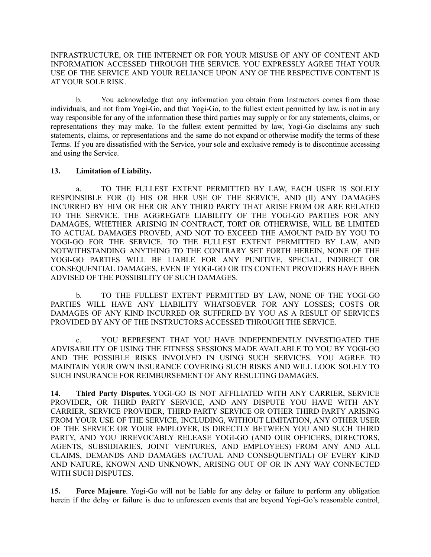### INFRASTRUCTURE, OR THE INTERNET OR FOR YOUR MISUSE OF ANY OF CONTENT AND INFORMATION ACCESSED THROUGH THE SERVICE. YOU EXPRESSLY AGREE THAT YOUR USE OF THE SERVICE AND YOUR RELIANCE UPON ANY OF THE RESPECTIVE CONTENT IS AT YOUR SOLE RISK.

b. You acknowledge that any information you obtain from Instructors comes from those individuals, and not from Yogi-Go, and that Yogi-Go, to the fullest extent permitted by law, is not in any way responsible for any of the information these third parties may supply or for any statements, claims, or representations they may make. To the fullest extent permitted by law, Yogi-Go disclaims any such statements, claims, or representations and the same do not expand or otherwise modify the terms of these Terms. If you are dissatisfied with the Service, your sole and exclusive remedy is to discontinue accessing and using the Service.

### **13. Limitation of Liability.**

a. TO THE FULLEST EXTENT PERMITTED BY LAW, EACH USER IS SOLELY RESPONSIBLE FOR (I) HIS OR HER USE OF THE SERVICE, AND (II) ANY DAMAGES INCURRED BY HIM OR HER OR ANY THIRD PARTY THAT ARISE FROM OR ARE RELATED TO THE SERVICE. THE AGGREGATE LIABILITY OF THE YOGI-GO PARTIES FOR ANY DAMAGES, WHETHER ARISING IN CONTRACT, TORT OR OTHERWISE, WILL BE LIMITED TO ACTUAL DAMAGES PROVED, AND NOT TO EXCEED THE AMOUNT PAID BY YOU TO YOGI-GO FOR THE SERVICE. TO THE FULLEST EXTENT PERMITTED BY LAW, AND NOTWITHSTANDING ANYTHING TO THE CONTRARY SET FORTH HEREIN, NONE OF THE YOGI-GO PARTIES WILL BE LIABLE FOR ANY PUNITIVE, SPECIAL, INDIRECT OR CONSEQUENTIAL DAMAGES, EVEN IF YOGI-GO OR ITS CONTENT PROVIDERS HAVE BEEN ADVISED OF THE POSSIBILITY OF SUCH DAMAGES.

b. TO THE FULLEST EXTENT PERMITTED BY LAW, NONE OF THE YOGI-GO PARTIES WILL HAVE ANY LIABILITY WHATSOEVER FOR ANY LOSSES; COSTS OR DAMAGES OF ANY KIND INCURRED OR SUFFERED BY YOU AS A RESULT OF SERVICES PROVIDED BY ANY OF THE INSTRUCTORS ACCESSED THROUGH THE SERVICE.

c. YOU REPRESENT THAT YOU HAVE INDEPENDENTLY INVESTIGATED THE ADVISABILITY OF USING THE FITNESS SESSIONS MADE AVAILABLE TO YOU BY YOGI-GO AND THE POSSIBLE RISKS INVOLVED IN USING SUCH SERVICES. YOU AGREE TO MAINTAIN YOUR OWN INSURANCE COVERING SUCH RISKS AND WILL LOOK SOLELY TO SUCH INSURANCE FOR REIMBURSEMENT OF ANY RESULTING DAMAGES.

**14. Third Party Disputes.** YOGI-GO IS NOT AFFILIATED WITH ANY CARRIER, SERVICE PROVIDER, OR THIRD PARTY SERVICE, AND ANY DISPUTE YOU HAVE WITH ANY CARRIER, SERVICE PROVIDER, THIRD PARTY SERVICE OR OTHER THIRD PARTY ARISING FROM YOUR USE OF THE SERVICE, INCLUDING, WITHOUT LIMITATION, ANY OTHER USER OF THE SERVICE OR YOUR EMPLOYER, IS DIRECTLY BETWEEN YOU AND SUCH THIRD PARTY, AND YOU IRREVOCABLY RELEASE YOGI-GO (AND OUR OFFICERS, DIRECTORS, AGENTS, SUBSIDIARIES, JOINT VENTURES, AND EMPLOYEES) FROM ANY AND ALL CLAIMS, DEMANDS AND DAMAGES (ACTUAL AND CONSEQUENTIAL) OF EVERY KIND AND NATURE, KNOWN AND UNKNOWN, ARISING OUT OF OR IN ANY WAY CONNECTED WITH SUCH DISPUTES.

**15. Force Majeure**. Yogi-Go will not be liable for any delay or failure to perform any obligation herein if the delay or failure is due to unforeseen events that are beyond Yogi-Go's reasonable control,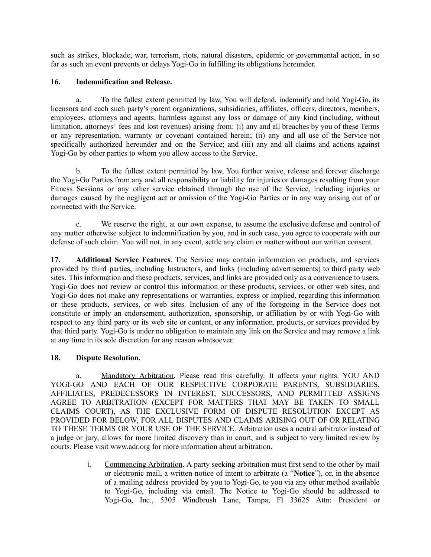such as strikes, blockade, war, terrorism, riots, natural disasters, epidemic or governmental action, in so far as such an event prevents or delays Yogi-Go in fulfilling its obligations hereunder.

## **16. Indemnification and Release.**

a. To the fullest extent permitted by law, You will defend, indemnify and hold Yogi-Go, its licensors and each such party's parent organizations, subsidiaries, affiliates, officers, directors, members, employees, attorneys and agents, harmless against any loss or damage of any kind (including, without limitation, attorneys' fees and lost revenues) arising from: (i) any and all breaches by you of these Terms or any representation, warranty or covenant contained herein; (ii) any and all use of the Service not specifically authorized hereunder and on the Service; and (iii) any and all claims and actions against Yogi-Go by other parties to whom you allow access to the Service.

b. To the fullest extent permitted by law, You further waive, release and forever discharge the Yogi-Go Parties from any and all responsibility or liability for injuries or damages resulting from your Fitness Sessions or any other service obtained through the use of the Service, including injuries or damages caused by the negligent act or omission of the Yogi-Go Parties or in any way arising out of or connected with the Service.

c. We reserve the right, at our own expense, to assume the exclusive defense and control of any matter otherwise subject to indemnification by you, and in such case, you agree to cooperate with our defense of such claim. You will not, in any event, settle any claim or matter without our written consent.

**17. Additional Service Features**. The Service may contain information on products, and services provided by third parties, including Instructors, and links (including advertisements) to third party web sites. This information and these products, services, and links are provided only as a convenience to users. Yogi-Go does not review or control this information or these products, services, or other web sites, and Yogi-Go does not make any representations or warranties, express or implied, regarding this information or these products, services, or web sites. Inclusion of any of the foregoing in the Service does not constitute or imply an endorsement, authorization, sponsorship, or affiliation by or with Yogi-Go with respect to any third party or its web site or content, or any information, products, or services provided by that third party. Yogi-Go is under no obligation to maintain any link on the Service and may remove a link at any time in its sole discretion for any reason whatsoever.

### **18. Dispute Resolution.**

a. Mandatory Arbitration. Please read this carefully. It affects your rights. YOU AND YOGI-GO AND EACH OF OUR RESPECTIVE CORPORATE PARENTS, SUBSIDIARIES, AFFILIATES, PREDECESSORS IN INTEREST, SUCCESSORS, AND PERMITTED ASSIGNS AGREE TO ARBITRATION (EXCEPT FOR MATTERS THAT MAY BE TAKEN TO SMALL CLAIMS COURT), AS THE EXCLUSIVE FORM OF DISPUTE RESOLUTION EXCEPT AS PROVIDED FOR BELOW, FOR ALL DISPUTES AND CLAIMS ARISING OUT OF OR RELATING TO THESE TERMS OR YOUR USE OF THE SERVICE. Arbitration uses a neutral arbitrator instead of a judge or jury, allows for more limited discovery than in court, and is subject to very limited review by courts. Please visit www.adr.org for more information about arbitration.

> i. Commencing Arbitration. A party seeking arbitration must first send to the other by mail or electronic mail, a written notice of intent to arbitrate (a "**Notice**"), or, in the absence of a mailing address provided by you to Yogi-Go, to you via any other method available to Yogi-Go, including via email. The Notice to Yogi-Go should be addressed to Yogi-Go, Inc., 5305 Windbrush Lane, Tampa, Fl 33625 Attn: President or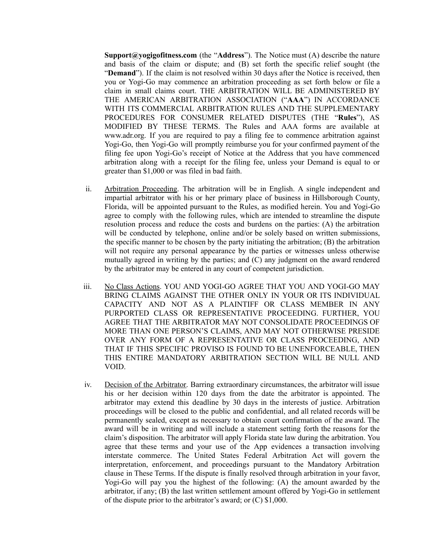**Support@yogigofitness.com** (the "**Address**"). The Notice must (A) describe the nature and basis of the claim or dispute; and (B) set forth the specific relief sought (the "**Demand**"). If the claim is not resolved within 30 days after the Notice is received, then you or Yogi-Go may commence an arbitration proceeding as set forth below or file a claim in small claims court. THE ARBITRATION WILL BE ADMINISTERED BY THE AMERICAN ARBITRATION ASSOCIATION ("**AAA**") IN ACCORDANCE WITH ITS COMMERCIAL ARBITRATION RULES AND THE SUPPLEMENTARY PROCEDURES FOR CONSUMER RELATED DISPUTES (THE "**Rules**"), AS MODIFIED BY THESE TERMS. The Rules and AAA forms are available at www.adr.org. If you are required to pay a filing fee to commence arbitration against Yogi-Go, then Yogi-Go will promptly reimburse you for your confirmed payment of the filing fee upon Yogi-Go's receipt of Notice at the Address that you have commenced arbitration along with a receipt for the filing fee, unless your Demand is equal to or greater than \$1,000 or was filed in bad faith.

- ii. Arbitration Proceeding. The arbitration will be in English. A single independent and impartial arbitrator with his or her primary place of business in Hillsborough County, Florida, will be appointed pursuant to the Rules, as modified herein. You and Yogi-Go agree to comply with the following rules, which are intended to streamline the dispute resolution process and reduce the costs and burdens on the parties: (A) the arbitration will be conducted by telephone, online and/or be solely based on written submissions, the specific manner to be chosen by the party initiating the arbitration; (B) the arbitration will not require any personal appearance by the parties or witnesses unless otherwise mutually agreed in writing by the parties; and (C) any judgment on the award rendered by the arbitrator may be entered in any court of competent jurisdiction.
- iii. No Class Actions. YOU AND YOGI-GO AGREE THAT YOU AND YOGI-GO MAY BRING CLAIMS AGAINST THE OTHER ONLY IN YOUR OR ITS INDIVIDUAL CAPACITY AND NOT AS A PLAINTIFF OR CLASS MEMBER IN ANY PURPORTED CLASS OR REPRESENTATIVE PROCEEDING. FURTHER, YOU AGREE THAT THE ARBITRATOR MAY NOT CONSOLIDATE PROCEEDINGS OF MORE THAN ONE PERSON'S CLAIMS, AND MAY NOT OTHERWISE PRESIDE OVER ANY FORM OF A REPRESENTATIVE OR CLASS PROCEEDING, AND THAT IF THIS SPECIFIC PROVISO IS FOUND TO BE UNENFORCEABLE, THEN THIS ENTIRE MANDATORY ARBITRATION SECTION WILL BE NULL AND VOID.
- iv. Decision of the Arbitrator. Barring extraordinary circumstances, the arbitrator will issue his or her decision within 120 days from the date the arbitrator is appointed. The arbitrator may extend this deadline by 30 days in the interests of justice. Arbitration proceedings will be closed to the public and confidential, and all related records will be permanently sealed, except as necessary to obtain court confirmation of the award. The award will be in writing and will include a statement setting forth the reasons for the claim's disposition. The arbitrator will apply Florida state law during the arbitration. You agree that these terms and your use of the App evidences a transaction involving interstate commerce. The United States Federal Arbitration Act will govern the interpretation, enforcement, and proceedings pursuant to the Mandatory Arbitration clause in These Terms. If the dispute is finally resolved through arbitration in your favor, Yogi-Go will pay you the highest of the following: (A) the amount awarded by the arbitrator, if any; (B) the last written settlement amount offered by Yogi-Go in settlement of the dispute prior to the arbitrator's award; or (C) \$1,000.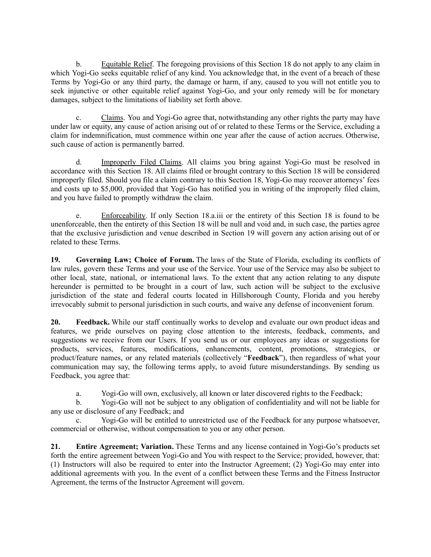b. Equitable Relief. The foregoing provisions of this Section 18 do not apply to any claim in which Yogi-Go seeks equitable relief of any kind. You acknowledge that, in the event of a breach of these Terms by Yogi-Go or any third party, the damage or harm, if any, caused to you will not entitle you to seek injunctive or other equitable relief against Yogi-Go, and your only remedy will be for monetary damages, subject to the limitations of liability set forth above.

c. Claims. You and Yogi-Go agree that, notwithstanding any other rights the party may have under law or equity, any cause of action arising out of or related to these Terms or the Service, excluding a claim for indemnification, must commence within one year after the cause of action accrues. Otherwise, such cause of action is permanently barred.

d. Improperly Filed Claims. All claims you bring against Yogi-Go must be resolved in accordance with this Section 18. All claims filed or brought contrary to this Section 18 will be considered improperly filed. Should you file a claim contrary to this Section 18, Yogi-Go may recover attorneys' fees and costs up to \$5,000, provided that Yogi-Go has notified you in writing of the improperly filed claim, and you have failed to promptly withdraw the claim.

e. Enforceability. If only Section 18.a.iii or the entirety of this Section 18 is found to be unenforceable, then the entirety of this Section 18 will be null and void and, in such case, the parties agree that the exclusive jurisdiction and venue described in Section 19 will govern any action arising out of or related to these Terms.

**19. Governing Law; Choice of Forum.** The laws of the State of Florida, excluding its conflicts of law rules, govern these Terms and your use of the Service. Your use of the Service may also be subject to other local, state, national, or international laws. To the extent that any action relating to any dispute hereunder is permitted to be brought in a court of law, such action will be subject to the exclusive jurisdiction of the state and federal courts located in Hillsborough County, Florida and you hereby irrevocably submit to personal jurisdiction in such courts, and waive any defense of inconvenient forum.

**20. Feedback.** While our staff continually works to develop and evaluate our own product ideas and features, we pride ourselves on paying close attention to the interests, feedback, comments, and suggestions we receive from our Users. If you send us or our employees any ideas or suggestions for products, services, features, modifications, enhancements, content, promotions, strategies, or product/feature names, or any related materials (collectively "**Feedback**"), then regardless of what your communication may say, the following terms apply, to avoid future misunderstandings. By sending us Feedback, you agree that:

a. Yogi-Go will own, exclusively, all known or later discovered rights to the Feedback;

b. Yogi-Go will not be subject to any obligation of confidentiality and will not be liable for any use or disclosure of any Feedback; and

c. Yogi-Go will be entitled to unrestricted use of the Feedback for any purpose whatsoever, commercial or otherwise, without compensation to you or any other person.

**21. Entire Agreement; Variation.** These Terms and any license contained in Yogi-Go's products set forth the entire agreement between Yogi-Go and You with respect to the Service; provided, however, that: (1) Instructors will also be required to enter into the Instructor Agreement; (2) Yogi-Go may enter into additional agreements with you. In the event of a conflict between these Terms and the Fitness Instructor Agreement, the terms of the Instructor Agreement will govern.